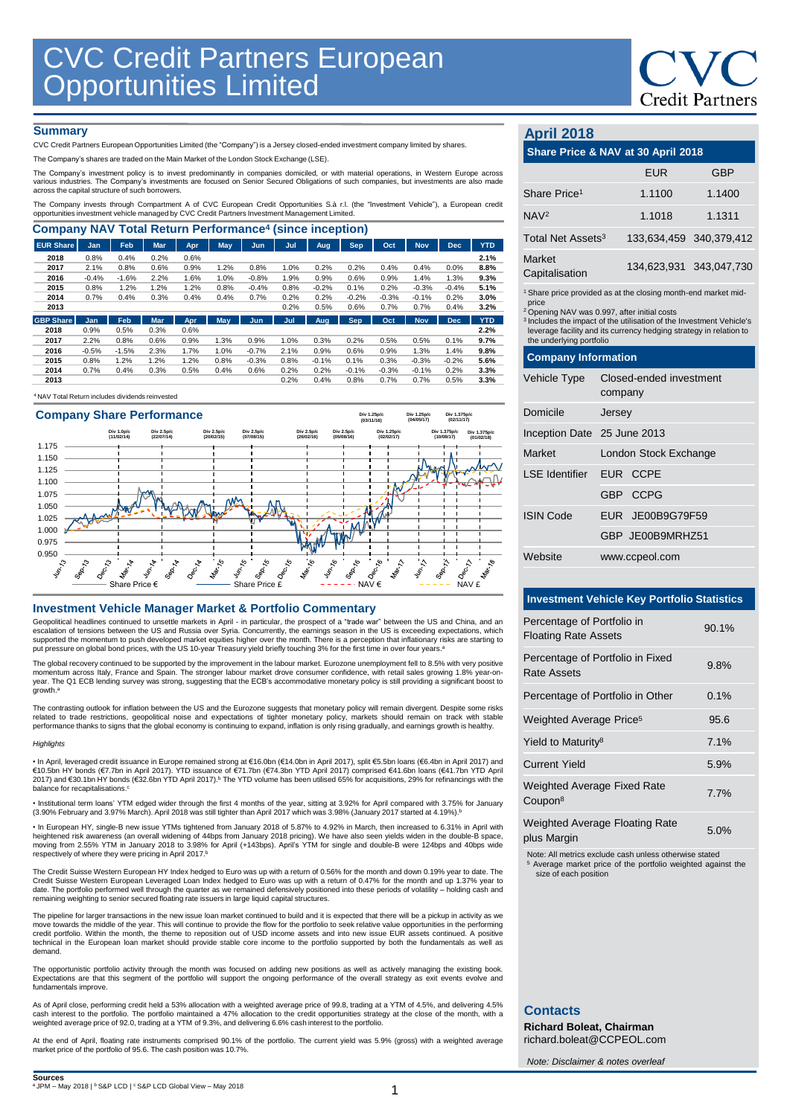## **Credit Partners**

### **Summary**

CVC Credit Partners European Opportunities Limited (the "Company") is a Jersey closed-ended investment company limited by shares.

The Company's shares are traded on the Main Market of the London Stock Exchange (LSE).

The Company's investment policy is to invest predominantly in companies domiciled, or with material operations, in Western Europe across<br>various industries. The Company's investments are focused on Senior Secured Obligatio

The Company invests through Compartment A of CVC European Credit Opportunities S.à r.l. (the "Investment Vehicle"), a European credit<br>opportunities investment vehicle managed by CVC Credit Partners Investment Management Li

| <b>Company NAV Total Return Performance<sup>4</sup> (since inception)</b> |            |         |            |      |      |            |      |         |            |         |            |            |            |
|---------------------------------------------------------------------------|------------|---------|------------|------|------|------------|------|---------|------------|---------|------------|------------|------------|
| <b>EUR Share</b>                                                          | <b>Jan</b> | Feb     | <b>Mar</b> | Apr  | May  | Jun        | Jul  | Aug     | Sep.       | Oct     | <b>Nov</b> | <b>Dec</b> | <b>YTD</b> |
| 2018                                                                      | 0.8%       | 0.4%    | 0.2%       | 0.6% |      |            |      |         |            |         |            |            | 2.1%       |
| 2017                                                                      | 2.1%       | 0.8%    | 0.6%       | 0.9% | 1.2% | 0.8%       | 1.0% | 0.2%    | 0.2%       | 0.4%    | 0.4%       | 0.0%       | 8.8%       |
| 2016                                                                      | $-0.4%$    | $-1.6%$ | 2.2%       | 1.6% | 1.0% | $-0.8%$    | 1.9% | 0.9%    | 0.6%       | 0.9%    | 1.4%       | 1.3%       | 9.3%       |
| 2015                                                                      | 0.8%       | 1.2%    | 1.2%       | 1.2% | 0.8% | $-0.4%$    | 0.8% | $-0.2%$ | 0.1%       | 0.2%    | $-0.3%$    | $-0.4%$    | 5.1%       |
| 2014                                                                      | 0.7%       | 0.4%    | 0.3%       | 0.4% | 0.4% | 0.7%       | 0.2% | 0.2%    | $-0.2%$    | $-0.3%$ | $-0.1%$    | 0.2%       | 3.0%       |
| 2013                                                                      |            |         |            |      |      |            | 0.2% | 0.5%    | 0.6%       | 0.7%    | 0.7%       | 0.4%       | 3.2%       |
| <b>GBP Share</b>                                                          | <b>Jan</b> | Feb     | <b>Mar</b> | Apr  | May  | <b>Jun</b> | Jul  | Aug     | <b>Sep</b> | Oct     | <b>Nov</b> | <b>Dec</b> | <b>YTD</b> |
| 2018                                                                      | 0.9%       | 0.5%    | 0.3%       | 0.6% |      |            |      |         |            |         |            |            | 2.2%       |
| 2017                                                                      | 2.2%       | 0.8%    | 0.6%       | 0.9% | 1.3% | 0.9%       | 1.0% | 0.3%    | 0.2%       | 0.5%    | 0.5%       | 0.1%       | 9.7%       |
| 2016                                                                      | $-0.5%$    | $-1.5%$ | 2.3%       | 1.7% | 1.0% | $-0.7%$    | 2.1% | 0.9%    | 0.6%       | 0.9%    | 1.3%       | 1.4%       | 9.8%       |
| 2015                                                                      | 0.8%       | 1.2%    | 1.2%       | 1.2% | 0.8% | $-0.3%$    | 0.8% | $-0.1%$ | 0.1%       | 0.3%    | $-0.3%$    | $-0.2%$    | 5.6%       |
| 2014                                                                      | 0.7%       | 0.4%    | 0.3%       | 0.5% | 0.4% | 0.6%       | 0.2% | 0.2%    | $-0.1%$    | $-0.3%$ | $-0.1%$    | 0.2%       | 3.3%       |
| 2013                                                                      |            |         |            |      |      |            | 0.2% | 0.4%    | 0.8%       | 0.7%    | 0.7%       | 0.5%       | 3.3%       |

### <sup>4</sup>NAV Total Return includes dividends reinvested



### **Investment Vehicle Manager Market & Portfolio Commentary**

Geopolitical headlines continued to unsettle markets in April - in particular, the prospect of a "trade war" between the US and China, and an escalation of tensions between the US and Russia over Syria. Concurrently, the earnings season in the US is exceeding expectations, which<br>supported the momentum to push developed market equities higher over the month. Ther put pressure on global bond prices, with the US 10-year Treasury yield briefly touching 3% for the first time in over four years.<sup>8</sup>

The global recovery continued to be supported by the improvement in the labour market. Eurozone unemployment fell to 8.5% with very positive momentum across Italy, France and Spain. The stronger labour market drove consumer confidence, with retail sales growing 1.8% year-on-<br>year. The Q1 ECB lending survey was strong, suggesting that the ECB's accommodative mon growth. a

The contrasting outlook for inflation between the US and the Eurozone suggests that monetary policy will remain divergent. Despite some risks related to trade restrictions, geopolitical noise and expectations of tighter monetary policy, markets should remain on track with stable<br>performance thanks to signs that the global economy is continuing to expand, inflati

#### *Highlights*

• In April, leveraged credit issuance in Europe remained strong at €16.0bn (€14.0bn in April 2017), split €5.5bn Ioans (€6.4bn in April 2017) and<br>€10.5bn HY bonds (€7.7bn in April 2017). YTD issuance of €71.7bn (€74.3bn Y 2017) and €30.1bn HY bonds (€32.6bn YTD April 2017).<sup>b</sup> The YTD volume has been utilised 65% for acquisitions, 29% for refinancings with the balance for recapitalisations.<sup>c</sup>

• Institutional term loans' YTM edged wider through the first 4 months of the year, sitting at 3.92% for April compared with 3.75% for January (3.90% February and 3.97% March). April 2018 was still tighter than April 2017 which was 3.98% (January 2017 started at 4.19%). b

• In European HY, single-B new issue YTMs tightened from January 2018 of 5.87% to 4.92% in March, then increased to 6.31% in April with heightened risk awareness (an overall widening of 44bps from January 2018 pricing). We have also seen yields widen in the double-B space,<br>moving from 2.55% YTM in January 2018 to 3.98% for April (+143bps). April's YTM for respectively of where they were pricing in April 2017. b

The Credit Suisse Western European HY Index hedged to Euro was up with a return of 0.56% for the month and down 0.19% year to date. The Credit Suisse Western European Leveraged Loan Index hedged to Euro was up with a return of 0.47% for the month and up 1.37% year to<br>date. The portfolio performed well through the quarter as we remained defensively position remaining weighting to senior secured floating rate issuers in large liquid capital structures.

The pipeline for larger transactions in the new issue loan market continued to build and it is expected that there will be a pickup in activity as we move towards the middle of the year. This will continue to provide the flow for the portfolio to seek relative value opportunities in the performing<br>credit portfolio. Within the month, the theme to reposition out of USD in technical in the European loan market should provide stable core income to the portfolio supported by both the fundamentals as well as demand.

The opportunistic portfolio activity through the month was focused on adding new positions as well as actively managing the existing book.<br>Expectations are that this segment of the portfolio will support the ongoing perfor fundamentals improve.

As of April close, performing credit held a 53% allocation with a weighted average price of 99.8, trading at a YTM of 4.5%, and delivering 4.5% cash interest to the portfolio. The portfolio maintained a 47% allocation to the credit opportunities strategy at the close of the month, with a<br>weighted average price of 92.0, trading at a YTM of 9.3%, and delivering 6.6%

At the end of April, floating rate instruments comprised 90.1% of the portfolio. The current yield was 5.9% (gross) with a weighted average market price of the portfolio of 95.6. The cash position was 10.7%.

### **April 2018**

| APHI ZUTO                                                                                                                                                                                                                                                                                                                          |                       |                         |                         |  |  |  |
|------------------------------------------------------------------------------------------------------------------------------------------------------------------------------------------------------------------------------------------------------------------------------------------------------------------------------------|-----------------------|-------------------------|-------------------------|--|--|--|
| Share Price & NAV at 30 April 2018                                                                                                                                                                                                                                                                                                 |                       |                         |                         |  |  |  |
|                                                                                                                                                                                                                                                                                                                                    |                       | <b>EUR</b>              | <b>GBP</b>              |  |  |  |
| Share Price <sup>1</sup>                                                                                                                                                                                                                                                                                                           |                       | 1.1100                  | 1.1400                  |  |  |  |
| NAV <sup>2</sup>                                                                                                                                                                                                                                                                                                                   |                       | 1.1018                  | 1.1311                  |  |  |  |
| Total Net Assets <sup>3</sup>                                                                                                                                                                                                                                                                                                      |                       |                         | 133,634,459 340,379,412 |  |  |  |
| Market<br>Capitalisation                                                                                                                                                                                                                                                                                                           |                       |                         | 134,623,931 343,047,730 |  |  |  |
| <sup>1</sup> Share price provided as at the closing month-end market mid-<br>price<br><sup>2</sup> Opening NAV was 0.997, after initial costs<br><sup>3</sup> Includes the impact of the utilisation of the Investment Vehicle's<br>leverage facility and its currency hedging strategy in relation to<br>the underlying portfolio |                       |                         |                         |  |  |  |
| <b>Company Information</b>                                                                                                                                                                                                                                                                                                         |                       |                         |                         |  |  |  |
| Vehicle Type                                                                                                                                                                                                                                                                                                                       | company               | Closed-ended investment |                         |  |  |  |
| Domicile                                                                                                                                                                                                                                                                                                                           | Jersey                |                         |                         |  |  |  |
| Inception Date 25 June 2013                                                                                                                                                                                                                                                                                                        |                       |                         |                         |  |  |  |
| Market                                                                                                                                                                                                                                                                                                                             | London Stock Exchange |                         |                         |  |  |  |
| <b>LSE</b> Identifier                                                                                                                                                                                                                                                                                                              |                       | EUR CCPE                |                         |  |  |  |
|                                                                                                                                                                                                                                                                                                                                    | GBP CCPG              |                         |                         |  |  |  |
| <b>ISIN Code</b>                                                                                                                                                                                                                                                                                                                   |                       | EUR JE00B9G79F59        |                         |  |  |  |
|                                                                                                                                                                                                                                                                                                                                    |                       | GBP JE00B9MRHZ51        |                         |  |  |  |
| Website                                                                                                                                                                                                                                                                                                                            |                       | www.ccpeol.com          |                         |  |  |  |

### **Investment Vehicle Key Portfolio Statistics**

| Percentage of Portfolio in<br><b>Floating Rate Assets</b> | 90.1% |
|-----------------------------------------------------------|-------|
| Percentage of Portfolio in Fixed<br>Rate Assets           | 9.8%  |
| Percentage of Portfolio in Other                          | 0.1%  |
| Weighted Average Price <sup>5</sup>                       | 95.6  |
| Yield to Maturity <sup>8</sup>                            | 7.1%  |
| <b>Current Yield</b>                                      | 5.9%  |
| <b>Weighted Average Fixed Rate</b><br>Coupon <sup>8</sup> | 7.7%  |
| <b>Weighted Average Floating Rate</b><br>plus Margin      | 5.0%  |

Note: All metrics exclude cash unless otherwise stated

<sup>5</sup> Average market price of the portfolio weighted against the size of each position

### **Contacts**

**Richard Boleat, Chairman**  richard.boleat@CCPEOL.com

*Note: Disclaimer & notes overleaf*